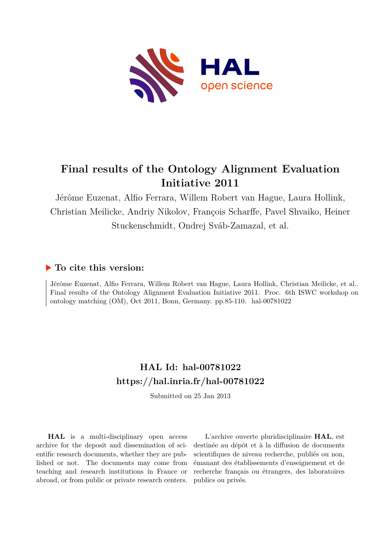

# **Final results of the Ontology Alignment Evaluation Initiative 2011**

Jérôme Euzenat, Alfio Ferrara, Willem Robert van Hague, Laura Hollink, Christian Meilicke, Andriy Nikolov, François Scharffe, Pavel Shvaiko, Heiner Stuckenschmidt, Ondrej Sváb-Zamazal, et al.

# **To cite this version:**

Jérôme Euzenat, Alfio Ferrara, Willem Robert van Hague, Laura Hollink, Christian Meilicke, et al.. Final results of the Ontology Alignment Evaluation Initiative 2011. Proc. 6th ISWC workshop on ontology matching (OM), Oct 2011, Bonn, Germany. pp.85-110. hal-00781022

# **HAL Id: hal-00781022 <https://hal.inria.fr/hal-00781022>**

Submitted on 25 Jan 2013

**HAL** is a multi-disciplinary open access archive for the deposit and dissemination of scientific research documents, whether they are published or not. The documents may come from teaching and research institutions in France or abroad, or from public or private research centers.

L'archive ouverte pluridisciplinaire **HAL**, est destinée au dépôt et à la diffusion de documents scientifiques de niveau recherche, publiés ou non, émanant des établissements d'enseignement et de recherche français ou étrangers, des laboratoires publics ou privés.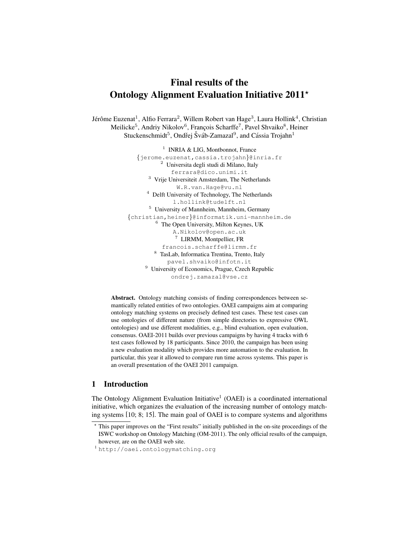# Final results of the Ontology Alignment Evaluation Initiative  $2011<sup>*</sup>$

Jérôme Euzenat<sup>1</sup>, Alfio Ferrara<sup>2</sup>, Willem Robert van Hage<sup>3</sup>, Laura Hollink<sup>4</sup>, Christian Meilicke<sup>5</sup>, Andriy Nikolov<sup>6</sup>, François Scharffe<sup>7</sup>, Pavel Shvaiko<sup>8</sup>, Heiner Stuckenschmidt<sup>5</sup>, Ondřej Šváb-Zamazal<sup>9</sup>, and Cássia Trojahn<sup>1</sup>

> <sup>1</sup> INRIA & LIG, Montbonnot, France {jerome.euzenat,cassia.trojahn}@inria.fr <sup>2</sup> Universita degli studi di Milano, Italy ferrara@dico.unimi.it <sup>3</sup> Vrije Universiteit Amsterdam, The Netherlands W.R.van.Hage@vu.nl <sup>4</sup> Delft University of Technology, The Netherlands l.hollink@tudelft.nl <sup>5</sup> University of Mannheim, Mannheim, Germany {christian,heiner}@informatik.uni-mannheim.de <sup>6</sup> The Open University, Milton Keynes, UK A.Nikolov@open.ac.uk <sup>7</sup> LIRMM, Montpellier, FR francois.scharffe@lirmm.fr <sup>8</sup> TasLab, Informatica Trentina, Trento, Italy pavel.shvaiko@infotn.it <sup>9</sup> University of Economics, Prague, Czech Republic ondrej.zamazal@vse.cz

Abstract. Ontology matching consists of finding correspondences between semantically related entities of two ontologies. OAEI campaigns aim at comparing ontology matching systems on precisely defined test cases. These test cases can use ontologies of different nature (from simple directories to expressive OWL ontologies) and use different modalities, e.g., blind evaluation, open evaluation, consensus. OAEI-2011 builds over previous campaigns by having 4 tracks with 6 test cases followed by 18 participants. Since 2010, the campaign has been using a new evaluation modality which provides more automation to the evaluation. In particular, this year it allowed to compare run time across systems. This paper is an overall presentation of the OAEI 2011 campaign.

# 1 Introduction

The Ontology Alignment Evaluation Initiative<sup>1</sup> (OAEI) is a coordinated international initiative, which organizes the evaluation of the increasing number of ontology matching systems [10; 8; 15]. The main goal of OAEI is to compare systems and algorithms

<sup>⋆</sup> This paper improves on the "First results" initially published in the on-site proceedings of the ISWC workshop on Ontology Matching (OM-2011). The only official results of the campaign, however, are on the OAEI web site.

<sup>1</sup> http://oaei.ontologymatching.org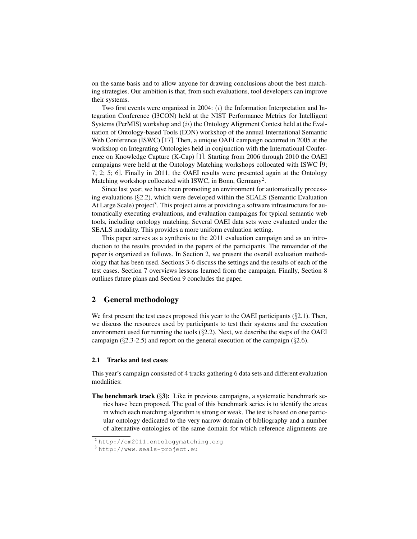on the same basis and to allow anyone for drawing conclusions about the best matching strategies. Our ambition is that, from such evaluations, tool developers can improve their systems.

Two first events were organized in 2004:  $(i)$  the Information Interpretation and Integration Conference (I3CON) held at the NIST Performance Metrics for Intelligent Systems (PerMIS) workshop and  $(ii)$  the Ontology Alignment Contest held at the Evaluation of Ontology-based Tools (EON) workshop of the annual International Semantic Web Conference (ISWC) [17]. Then, a unique OAEI campaign occurred in 2005 at the workshop on Integrating Ontologies held in conjunction with the International Conference on Knowledge Capture (K-Cap) [1]. Starting from 2006 through 2010 the OAEI campaigns were held at the Ontology Matching workshops collocated with ISWC [9; 7; 2; 5; 6]. Finally in 2011, the OAEI results were presented again at the Ontology Matching workshop collocated with ISWC, in Bonn, Germany<sup>2</sup>.

Since last year, we have been promoting an environment for automatically processing evaluations  $(\S2.2)$ , which were developed within the SEALS (Semantic Evaluation At Large Scale) project<sup>3</sup>. This project aims at providing a software infrastructure for automatically executing evaluations, and evaluation campaigns for typical semantic web tools, including ontology matching. Several OAEI data sets were evaluated under the SEALS modality. This provides a more uniform evaluation setting.

This paper serves as a synthesis to the 2011 evaluation campaign and as an introduction to the results provided in the papers of the participants. The remainder of the paper is organized as follows. In Section 2, we present the overall evaluation methodology that has been used. Sections 3-6 discuss the settings and the results of each of the test cases. Section 7 overviews lessons learned from the campaign. Finally, Section 8 outlines future plans and Section 9 concludes the paper.

# 2 General methodology

We first present the test cases proposed this year to the OAEI participants ( $\S$ 2.1). Then, we discuss the resources used by participants to test their systems and the execution environment used for running the tools  $(\S2.2)$ . Next, we describe the steps of the OAEI campaign  $(\S2.3-2.5)$  and report on the general execution of the campaign  $(\S2.6)$ .

#### 2.1 Tracks and test cases

This year's campaign consisted of 4 tracks gathering 6 data sets and different evaluation modalities:

The benchmark track  $(\S3)$ : Like in previous campaigns, a systematic benchmark series have been proposed. The goal of this benchmark series is to identify the areas in which each matching algorithm is strong or weak. The test is based on one particular ontology dedicated to the very narrow domain of bibliography and a number of alternative ontologies of the same domain for which reference alignments are

<sup>2</sup> http://om2011.ontologymatching.org

<sup>3</sup> http://www.seals-project.eu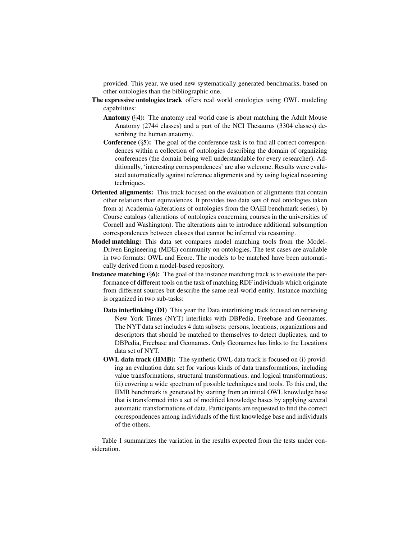provided. This year, we used new systematically generated benchmarks, based on other ontologies than the bibliographic one.

- The expressive ontologies track offers real world ontologies using OWL modeling capabilities:
	- **Anatomy**  $(\S 4)$ : The anatomy real world case is about matching the Adult Mouse Anatomy (2744 classes) and a part of the NCI Thesaurus (3304 classes) describing the human anatomy.
	- **Conference**  $(\S 5)$ : The goal of the conference task is to find all correct correspondences within a collection of ontologies describing the domain of organizing conferences (the domain being well understandable for every researcher). Additionally, 'interesting correspondences' are also welcome. Results were evaluated automatically against reference alignments and by using logical reasoning techniques.
- Oriented alignments: This track focused on the evaluation of alignments that contain other relations than equivalences. It provides two data sets of real ontologies taken from a) Academia (alterations of ontologies from the OAEI benchmark series), b) Course catalogs (alterations of ontologies concerning courses in the universities of Cornell and Washington). The alterations aim to introduce additional subsumption correspondences between classes that cannot be inferred via reasoning.
- Model matching: This data set compares model matching tools from the Model-Driven Engineering (MDE) community on ontologies. The test cases are available in two formats: OWL and Ecore. The models to be matched have been automatically derived from a model-based repository.
- **Instance matching** ( $\S$ **6):** The goal of the instance matching track is to evaluate the performance of different tools on the task of matching RDF individuals which originate from different sources but describe the same real-world entity. Instance matching is organized in two sub-tasks:
	- Data interlinking (DI) This year the Data interlinking track focused on retrieving New York Times (NYT) interlinks with DBPedia, Freebase and Geonames. The NYT data set includes 4 data subsets: persons, locations, organizations and descriptors that should be matched to themselves to detect duplicates, and to DBPedia, Freebase and Geonames. Only Geonames has links to the Locations data set of NYT.
	- OWL data track (IIMB): The synthetic OWL data track is focused on (i) providing an evaluation data set for various kinds of data transformations, including value transformations, structural transformations, and logical transformations; (ii) covering a wide spectrum of possible techniques and tools. To this end, the IIMB benchmark is generated by starting from an initial OWL knowledge base that is transformed into a set of modified knowledge bases by applying several automatic transformations of data. Participants are requested to find the correct correspondences among individuals of the first knowledge base and individuals of the others.

Table 1 summarizes the variation in the results expected from the tests under consideration.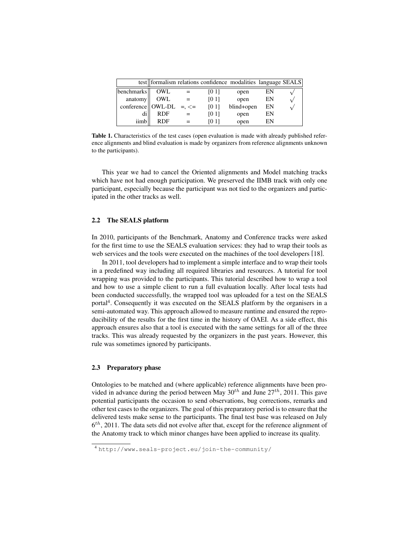|                                 |            | test formalism relations confidence modalities language SEALS |            |    |  |
|---------------------------------|------------|---------------------------------------------------------------|------------|----|--|
| benchmarks                      | OWL        | <b>[0 1]</b>                                                  | open       | EN |  |
| anatomy                         | OWL        | [01]                                                          | open       | EN |  |
| conference    OWL-DL =, $\le$ = |            | [0 1]                                                         | blind+open | EN |  |
| di                              | <b>RDF</b> | <b>TO 11</b>                                                  | open       | EN |  |
| iimb                            | <b>RDF</b> | <b>TO 11</b>                                                  | open       | EN |  |

Table 1. Characteristics of the test cases (open evaluation is made with already published reference alignments and blind evaluation is made by organizers from reference alignments unknown to the participants).

This year we had to cancel the Oriented alignments and Model matching tracks which have not had enough participation. We preserved the IIMB track with only one participant, especially because the participant was not tied to the organizers and participated in the other tracks as well.

#### 2.2 The SEALS platform

In 2010, participants of the Benchmark, Anatomy and Conference tracks were asked for the first time to use the SEALS evaluation services: they had to wrap their tools as web services and the tools were executed on the machines of the tool developers [18].

In 2011, tool developers had to implement a simple interface and to wrap their tools in a predefined way including all required libraries and resources. A tutorial for tool wrapping was provided to the participants. This tutorial described how to wrap a tool and how to use a simple client to run a full evaluation locally. After local tests had been conducted successfully, the wrapped tool was uploaded for a test on the SEALS portal<sup>4</sup>. Consequently it was executed on the SEALS platform by the organisers in a semi-automated way. This approach allowed to measure runtime and ensured the reproducibility of the results for the first time in the history of OAEI. As a side effect, this approach ensures also that a tool is executed with the same settings for all of the three tracks. This was already requested by the organizers in the past years. However, this rule was sometimes ignored by participants.

### 2.3 Preparatory phase

Ontologies to be matched and (where applicable) reference alignments have been provided in advance during the period between May  $30^{th}$  and June  $27^{th}$ , 2011. This gave potential participants the occasion to send observations, bug corrections, remarks and other test cases to the organizers. The goal of this preparatory period is to ensure that the delivered tests make sense to the participants. The final test base was released on July  $6<sup>th</sup>$ , 2011. The data sets did not evolve after that, except for the reference alignment of the Anatomy track to which minor changes have been applied to increase its quality.

<sup>4</sup> http://www.seals-project.eu/join-the-community/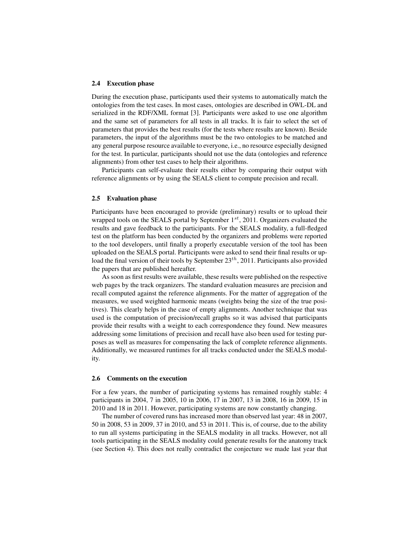#### 2.4 Execution phase

During the execution phase, participants used their systems to automatically match the ontologies from the test cases. In most cases, ontologies are described in OWL-DL and serialized in the RDF/XML format [3]. Participants were asked to use one algorithm and the same set of parameters for all tests in all tracks. It is fair to select the set of parameters that provides the best results (for the tests where results are known). Beside parameters, the input of the algorithms must be the two ontologies to be matched and any general purpose resource available to everyone, i.e., no resource especially designed for the test. In particular, participants should not use the data (ontologies and reference alignments) from other test cases to help their algorithms.

Participants can self-evaluate their results either by comparing their output with reference alignments or by using the SEALS client to compute precision and recall.

#### 2.5 Evaluation phase

Participants have been encouraged to provide (preliminary) results or to upload their wrapped tools on the SEALS portal by September  $1^{st}$ , 2011. Organizers evaluated the results and gave feedback to the participants. For the SEALS modality, a full-fledged test on the platform has been conducted by the organizers and problems were reported to the tool developers, until finally a properly executable version of the tool has been uploaded on the SEALS portal. Participants were asked to send their final results or upload the final version of their tools by September  $23<sup>th</sup>$ , 2011. Participants also provided the papers that are published hereafter.

As soon as first results were available, these results were published on the respective web pages by the track organizers. The standard evaluation measures are precision and recall computed against the reference alignments. For the matter of aggregation of the measures, we used weighted harmonic means (weights being the size of the true positives). This clearly helps in the case of empty alignments. Another technique that was used is the computation of precision/recall graphs so it was advised that participants provide their results with a weight to each correspondence they found. New measures addressing some limitations of precision and recall have also been used for testing purposes as well as measures for compensating the lack of complete reference alignments. Additionally, we measured runtimes for all tracks conducted under the SEALS modality.

#### 2.6 Comments on the execution

For a few years, the number of participating systems has remained roughly stable: 4 participants in 2004, 7 in 2005, 10 in 2006, 17 in 2007, 13 in 2008, 16 in 2009, 15 in 2010 and 18 in 2011. However, participating systems are now constantly changing.

The number of covered runs has increased more than observed last year: 48 in 2007, 50 in 2008, 53 in 2009, 37 in 2010, and 53 in 2011. This is, of course, due to the ability to run all systems participating in the SEALS modality in all tracks. However, not all tools participating in the SEALS modality could generate results for the anatomy track (see Section 4). This does not really contradict the conjecture we made last year that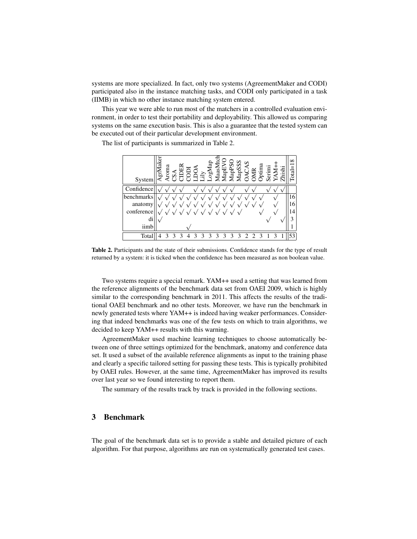systems are more specialized. In fact, only two systems (AgreementMaker and CODI) participated also in the instance matching tasks, and CODI only participated in a task (IIMB) in which no other instance matching system entered.

This year we were able to run most of the matchers in a controlled evaluation environment, in order to test their portability and deployability. This allowed us comparing systems on the same execution basis. This is also a guarantee that the tested system can be executed out of their particular development environment.

The list of participants is summarized in Table 2.



Table 2. Participants and the state of their submissions. Confidence stands for the type of result returned by a system: it is ticked when the confidence has been measured as non boolean value.

Two systems require a special remark. YAM++ used a setting that was learned from the reference alignments of the benchmark data set from OAEI 2009, which is highly similar to the corresponding benchmark in 2011. This affects the results of the traditional OAEI benchmark and no other tests. Moreover, we have run the benchmark in newly generated tests where YAM++ is indeed having weaker performances. Considering that indeed benchmarks was one of the few tests on which to train algorithms, we decided to keep YAM++ results with this warning.

AgreementMaker used machine learning techniques to choose automatically between one of three settings optimized for the benchmark, anatomy and conference data set. It used a subset of the available reference alignments as input to the training phase and clearly a specific tailored setting for passing these tests. This is typically prohibited by OAEI rules. However, at the same time, AgreementMaker has improved its results over last year so we found interesting to report them.

The summary of the results track by track is provided in the following sections.

# 3 Benchmark

The goal of the benchmark data set is to provide a stable and detailed picture of each algorithm. For that purpose, algorithms are run on systematically generated test cases.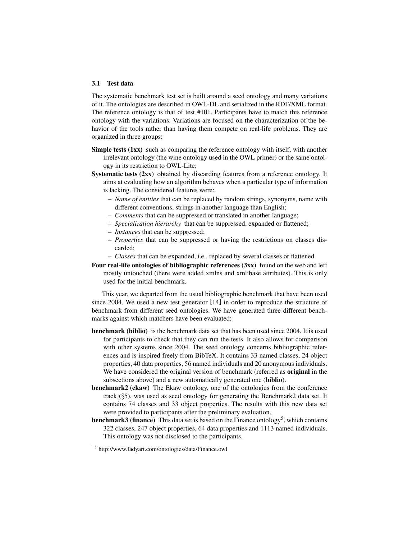#### 3.1 Test data

The systematic benchmark test set is built around a seed ontology and many variations of it. The ontologies are described in OWL-DL and serialized in the RDF/XML format. The reference ontology is that of test #101. Participants have to match this reference ontology with the variations. Variations are focused on the characterization of the behavior of the tools rather than having them compete on real-life problems. They are organized in three groups:

- Simple tests (1xx) such as comparing the reference ontology with itself, with another irrelevant ontology (the wine ontology used in the OWL primer) or the same ontology in its restriction to OWL-Lite;
- Systematic tests (2xx) obtained by discarding features from a reference ontology. It aims at evaluating how an algorithm behaves when a particular type of information is lacking. The considered features were:
	- *Name of entities* that can be replaced by random strings, synonyms, name with different conventions, strings in another language than English;
	- *Comments* that can be suppressed or translated in another language;
	- *Specialization hierarchy* that can be suppressed, expanded or flattened;
	- *Instances* that can be suppressed;
	- *Properties* that can be suppressed or having the restrictions on classes discarded;
	- *Classes* that can be expanded, i.e., replaced by several classes or flattened.
- Four real-life ontologies of bibliographic references (3xx) found on the web and left mostly untouched (there were added xmlns and xml:base attributes). This is only used for the initial benchmark.

This year, we departed from the usual bibliographic benchmark that have been used since 2004. We used a new test generator [14] in order to reproduce the structure of benchmark from different seed ontologies. We have generated three different benchmarks against which matchers have been evaluated:

- benchmark (biblio) is the benchmark data set that has been used since 2004. It is used for participants to check that they can run the tests. It also allows for comparison with other systems since 2004. The seed ontology concerns bibliographic references and is inspired freely from BibTeX. It contains 33 named classes, 24 object properties, 40 data properties, 56 named individuals and 20 anonymous individuals. We have considered the original version of benchmark (referred as **original** in the subsections above) and a new automatically generated one (biblio).
- benchmark2 (ekaw) The Ekaw ontology, one of the ontologies from the conference track (§5), was used as seed ontology for generating the Benchmark2 data set. It contains 74 classes and 33 object properties. The results with this new data set were provided to participants after the preliminary evaluation.
- **benchmark3 (finance)** This data set is based on the Finance ontology<sup>5</sup>, which contains 322 classes, 247 object properties, 64 data properties and 1113 named individuals. This ontology was not disclosed to the participants.

<sup>5</sup> http://www.fadyart.com/ontologies/data/Finance.owl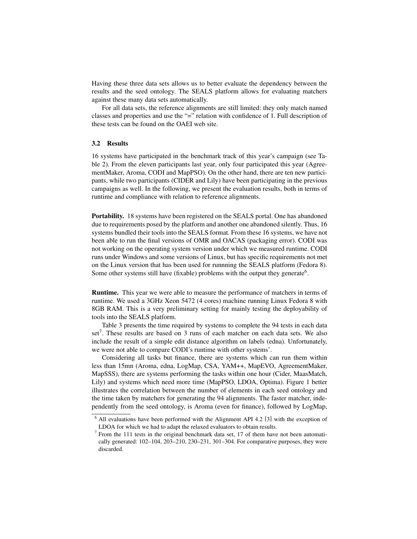Having these three data sets allows us to better evaluate the dependency between the results and the seed ontology. The SEALS platform allows for evaluating matchers against these many data sets automatically.

For all data sets, the reference alignments are still limited: they only match named classes and properties and use the "=" relation with confidence of 1. Full description of these tests can be found on the OAEI web site.

#### 3.2 Results

16 systems have participated in the benchmark track of this year's campaign (see Table 2). From the eleven participants last year, only four participated this year (AgreementMaker, Aroma, CODI and MapPSO). On the other hand, there are ten new participants, while two participants (CIDER and Lily) have been participating in the previous campaigns as well. In the following, we present the evaluation results, both in terms of runtime and compliance with relation to reference alignments.

Portability. 18 systems have been registered on the SEALS portal. One has abandoned due to requirements posed by the platform and another one abandoned silently. Thus, 16 systems bundled their tools into the SEALS format. From these 16 systems, we have not been able to run the final versions of OMR and OACAS (packaging error). CODI was not working on the operating system version under which we measured runtime. CODI runs under Windows and some versions of Linux, but has specific requirements not met on the Linux version that has been used for runnning the SEALS platform (Fedora 8). Some other systems still have (fixable) problems with the output they generate<sup>6</sup>.

Runtime. This year we were able to measure the performance of matchers in terms of runtime. We used a 3GHz Xeon 5472 (4 cores) machine running Linux Fedora 8 with 8GB RAM. This is a very preliminary setting for mainly testing the deployability of tools into the SEALS platform.

Table 3 presents the time required by systems to complete the 94 tests in each data set<sup>7</sup>. These results are based on 3 runs of each matcher on each data sets. We also include the result of a simple edit distance algorithm on labels (edna). Unfortunately, we were not able to compare CODI's runtime with other systems'.

Considering all tasks but finance, there are systems which can run them within less than 15mn (Aroma, edna, LogMap, CSA, YAM++, MapEVO, AgreementMaker, MapSSS), there are systems performing the tasks within one hour (Cider, MaasMatch, Lily) and systems which need more time (MapPSO, LDOA, Optima). Figure 1 better illustrates the correlation between the number of elements in each seed ontology and the time taken by matchers for generating the 94 alignments. The faster matcher, independently from the seed ontology, is Aroma (even for finance), followed by LogMap,

 $6$  All evaluations have been performed with the Alignment API 4.2 [3] with the exception of LDOA for which we had to adapt the relaxed evaluators to obtain results.

<sup>&</sup>lt;sup>7</sup> From the 111 tests in the original benchmark data set, 17 of them have not been automatically generated: 102–104, 203–210, 230–231, 301–304. For comparative purposes, they were discarded.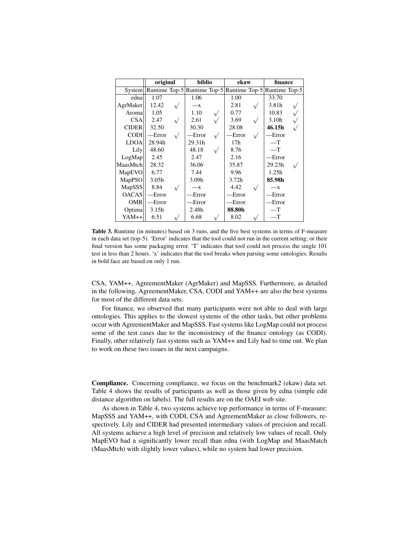|               | original                                                |           | biblio | ekaw            | finance           |  |
|---------------|---------------------------------------------------------|-----------|--------|-----------------|-------------------|--|
| <b>System</b> | Runtime Top-5 Runtime Top-5 Runtime Top-5 Runtime Top-5 |           |        |                 |                   |  |
| ednal         | 1.07                                                    |           | 1.06   | 1.00            | 33.70             |  |
| AgrMaker      | 12.42                                                   |           | $-x$   | 2.81            | 3.81h             |  |
| Aromal        | 1.05                                                    |           | 1.10   | 0.77            | 10.83             |  |
| CSA           | 2.47                                                    |           | 2.61   | 3.69            | 3.10 <sub>h</sub> |  |
| <b>CIDER</b>  | 32.50                                                   |           | 30.30  | 28.08           | 46.15h            |  |
| <b>CODI</b>   | -Error                                                  | $\sqrt{}$ | -Error | -Error          | -Error            |  |
| <b>LDOA</b>   | 28.94h                                                  |           | 29.31h | 17 <sub>h</sub> | $-$ T             |  |
| Lily          | 48.60                                                   |           | 48.18  | 8.76            | $-$ T             |  |
| LogMap        | 2.45                                                    |           | 2.47   | 2.16            | -Error            |  |
| MaasMtch      | 28.32                                                   |           | 36.06  | 35.87           | 29.23h            |  |
| MapEVO        | 6.77                                                    |           | 7.44   | 9.96            | 1.25h             |  |
| MapPSO        | 3.05 <sub>h</sub>                                       |           | 3.09h  | 3.72h           | 85.98h            |  |
| <b>MapSSS</b> | 8.84                                                    |           | $-x$   | 4.42            | $-x$              |  |
| <b>OACAS</b>  | -Error                                                  |           | -Error | -Error          | Error             |  |
| <b>OMR</b>    | -Error                                                  |           | Error  | -Error          | -Error            |  |
| Optima        | 3.15h                                                   |           | 2.48h  | 88.80h          | $-$ T             |  |
| YAM++         | 6.51                                                    |           | 6.68   | 8.02            | $-\mathrm{T}$     |  |

Table 3. Runtime (in minutes) based on 3 runs, and the five best systems in terms of F-measure in each data set (top-5). 'Error' indicates that the tool could not run in the current setting; or their final version has some packaging error. 'T' indicates that tool could not process the single 101 test in less than 2 hours. 'x' indicates that the tool breaks when parsing some ontologies. Results in bold face are based on only 1 run.

CSA, YAM++, AgreementMaker (AgrMaker) and MapSSS. Furthermore, as detailed in the following, AgreementMaker, CSA, CODI and YAM++ are also the best systems for most of the different data sets.

For finance, we observed that many participants were not able to deal with large ontologies. This applies to the slowest systems of the other tasks, but other problems occur with AgreementMaker and MapSSS. Fast systems like LogMap could not process some of the test cases due to the inconsistency of the finance ontology (as CODI). Finally, other relatively fast systems such as YAM++ and Lily had to time out. We plan to work on these two issues in the next campaigns.

Compliance. Concerning compliance, we focus on the benchmark2 (ekaw) data set. Table 4 shows the results of participants as well as those given by edna (simple edit distance algorithm on labels). The full results are on the OAEI web site.

As shown in Table 4, two systems achieve top performance in terms of F-measure: MapSSS and YAM++, with CODI, CSA and AgreementMaker as close followers, respectively. Lily and CIDER had presented intermediary values of precision and recall. All systems achieve a high level of precision and relatively low values of recall. Only MapEVO had a significantly lower recall than edna (with LogMap and MaasMatch (MaasMtch) with slightly lower values), while no system had lower precision.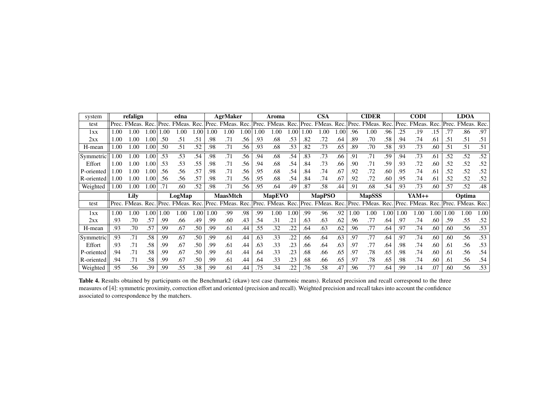| system     |       | refalign    |                 |       | edna                           |      |     | <b>AgrMaker</b>   |                  |       | Aroma         |     |       | <b>CSA</b>        |      |     | <b>CIDER</b>      |     |       | <b>CODI</b>  |      |       | <b>LDOA</b> |      |
|------------|-------|-------------|-----------------|-------|--------------------------------|------|-----|-------------------|------------------|-------|---------------|-----|-------|-------------------|------|-----|-------------------|-----|-------|--------------|------|-------|-------------|------|
| test       | Prec. | FMeas, Rec. |                 | Prec. | FMeas.                         | Rec. |     | Prec. FMeas. Rec. |                  | Prec. | FMeas. Rec.   |     | Prec. | FMeas.            | Rec. |     | Prec. FMeas. Rec. |     | Prec. | FMeas.       | Rec. | Prec. | FMeas. Rec. |      |
| 1xx        | .00   | .00         | .00             | 1.00  | .00                            | .00  | .00 | .00               | .00              | .00   | .00           | .00 | .00   | 0.00              | .00  | .96 | .00               | .96 | .25   | .19          | .15  | .77   | .86         | .97  |
| 2xx        | 1.00  | 00.         | .00             | .50   | .51                            | .51  | .98 | .71               | .56              | .93   | .68           | .53 | .82   | .72               | .64  | .89 | .70               | .58 | .94   | .74          | .61  | .51   | .51         | .51  |
| H-mean     | 1.00  | 00.1        | .00             | .50   | .51                            | .52  | .98 | .71               | $\overline{.}56$ | .93   | .68           | .53 | .82   | .73               | .65  | .89 | .70               | .58 | .93   | .73          | .60  | .51   | .51         | .51  |
| Symmetric  | .00   | 1.00        | .00             | .53   | .53                            | .54  | .98 | .71               | .56              | .94   | .68           | .54 | .83   | .73               | .66  | .91 | .71               | .59 | .94   | .73          | .61  | .52   | .52         | .52  |
| Effort     | 1.00  | .00         | .0 <sup>c</sup> | .53   | .53                            | .55  | .98 | .71               | .56              | .94   | .68           | .54 | .84   | .73               | .66  | .90 | .71               | .59 | .93   | .72          | .60  | .52   | .52         | .52  |
| P-oriented | 1.00  | 0.00        | .0 <sub>0</sub> | .56   | .56                            | .57  | .98 | .71               | .56              | .95   | .68           | .54 | .84   | .74               | .67  | .92 | .72               | .60 | .95   | .74          | .61  | .52   | .52         | .52  |
| R-oriented | 1.00  | 0.00        | .0 <sub>0</sub> | .56   | .56                            | .57  | .98 | .71               | .56              | .95   | .68           | .54 | .84   | .74               | .67  | .92 | .72               | .60 | .95   | .74          | .61  | .52   | .52         | .52  |
| Weighted   | 1.00  | $1.00\,$    | .00             | .71   | .60                            | .52  | .98 | .71               | .56              | .95   | .64           | .49 | .87   | .58               | .44  | .91 | .68               | .54 | .93   | .73          | .60  | .57   | .52         | .48  |
|            |       |             |                 |       |                                |      |     |                   |                  |       |               |     |       |                   |      |     |                   |     |       |              |      |       |             |      |
|            |       | Lily        |                 |       | LogMap                         |      |     | <b>MaasMtch</b>   |                  |       | <b>MapEVO</b> |     |       | <b>MapPSO</b>     |      |     | <b>MapSSS</b>     |     |       | YAM++        |      |       | Optima      |      |
| test       | Prec. | FMeas. Rec. |                 |       | Prec. FMeas. Rec. Prec. FMeas. |      |     |                   | Rec.             | Prec. | FMeas. Rec.   |     |       | Prec. FMeas. Rec. |      |     | Prec. FMeas. Rec. |     |       | Prec. FMeas. | Rec. | Prec. | FMeas. Rec. |      |
| 1xx        | 1.00  | 0.00        | .00             | 1.00  | 1.00                           | .00  | .00 | .99               | .98              | .99   | .00           | .00 | .99   | .96               | .92  | .00 | .00               | .00 | .00   | 0.00         | .00  | .00   | 1.00        | 1.00 |
| 2xx        | .93   | .70         | .57             | .99   | .66                            | .49  | .99 | .60               | .43              | .54   | .31           | .21 | .63   | .63               | .62  | .96 | .77               | .64 | .97   | .74          | .60  | .59   | .55         | .52  |
| H-mean     | .93   | .70         | .57             | .99   | .67                            | .50  | .99 | .61               | .44              | .55   | .32           | 22  | .64   | .63               | .62  | .96 | .77               | .64 | .97   | .74          | .60  | .60   | .56         | .53  |
| Symmetric  | .93   | .71         | .58             | .99   | .67                            | .50  | .99 | .61               | .44              | .63   | .33           | .22 | .66   | .64               | .63  | .97 | .77               | .64 | .97   | .74          | .60  | .60   | .56         | .53  |
| Effort     | .93   | .71         | .58             | .99   | .67                            | .50  | .99 | .61               | .44              | .63   | .33           | .23 | .66   | .64               | .63  | .97 | .77               | .64 | .98   | .74          | .60  | .61   | .56         | .53  |
| P-oriented | .94   | .71         | .58             | .99   | .67                            | .50  | .99 | .61               | .44              | .64   | .33           | .23 | .68   | .66               | .65  | .97 | .78               | .65 | .98   | .74          | .60  | .61   | .56         | .54  |
| R-oriented | .94   | .71         | .58             | .99   | .67                            | .50  | .99 | .61               | .44              | .64   | .33           | .23 | .68   | .66               | .65  | .97 | .78               | .65 | .98   | .74          | .60  | .61   | .56         | .54  |

Table 4. Results obtained by participants on the Benchmark2 (ekaw) test case (harmonic means). Relaxed precision and recall correspond to the three measures of [4]: symmetric proximity, correction effort and oriented (precision and recall). Weighted precision and recall takes into account the confidence associated to correspondence by the matchers.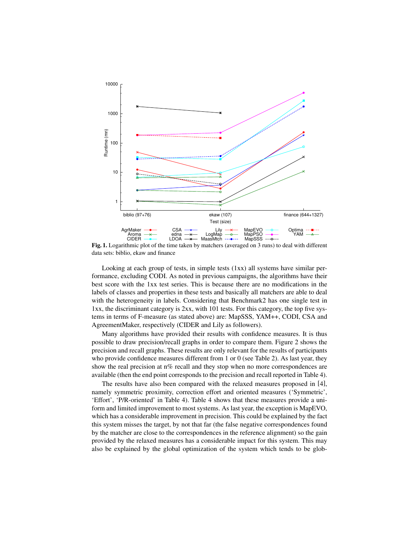

Fig. 1. Logarithmic plot of the time taken by matchers (averaged on 3 runs) to deal with different data sets: biblio, ekaw and finance

Looking at each group of tests, in simple tests  $(1xx)$  all systems have similar performance, excluding CODI. As noted in previous campaigns, the algorithms have their best score with the 1xx test series. This is because there are no modifications in the labels of classes and properties in these tests and basically all matchers are able to deal with the heterogeneity in labels. Considering that Benchmark2 has one single test in 1xx, the discriminant category is 2xx, with 101 tests. For this category, the top five systems in terms of F-measure (as stated above) are: MapSSS, YAM++, CODI, CSA and AgreementMaker, respectively (CIDER and Lily as followers).

Many algorithms have provided their results with confidence measures. It is thus possible to draw precision/recall graphs in order to compare them. Figure 2 shows the precision and recall graphs. These results are only relevant for the results of participants who provide confidence measures different from 1 or 0 (see Table 2). As last year, they show the real precision at n% recall and they stop when no more correspondences are available (then the end point corresponds to the precision and recall reported in Table 4).

The results have also been compared with the relaxed measures proposed in [4], namely symmetric proximity, correction effort and oriented measures ('Symmetric', 'Effort', 'P/R-oriented' in Table 4). Table 4 shows that these measures provide a uniform and limited improvement to most systems. As last year, the exception is MapEVO, which has a considerable improvement in precision. This could be explained by the fact this system misses the target, by not that far (the false negative correspondences found by the matcher are close to the correspondences in the reference alignment) so the gain provided by the relaxed measures has a considerable impact for this system. This may also be explained by the global optimization of the system which tends to be glob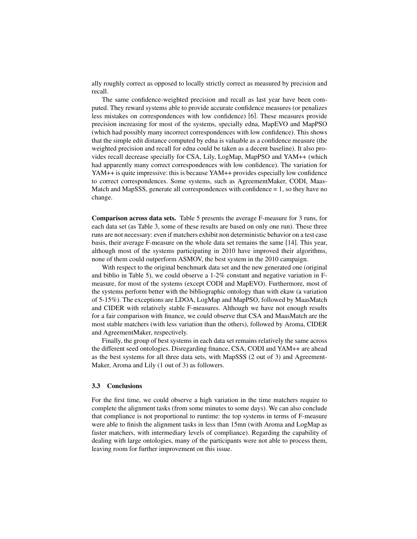ally roughly correct as opposed to locally strictly correct as measured by precision and recall.

The same confidence-weighted precision and recall as last year have been computed. They reward systems able to provide accurate confidence measures (or penalizes less mistakes on correspondences with low confidence) [6]. These measures provide precision increasing for most of the systems, specially edna, MapEVO and MapPSO (which had possibly many incorrect correspondences with low confidence). This shows that the simple edit distance computed by edna is valuable as a confidence measure (the weighted precision and recall for edna could be taken as a decent baseline). It also provides recall decrease specially for CSA, Lily, LogMap, MapPSO and YAM++ (which had apparently many correct correspondences with low confidence). The variation for YAM++ is quite impressive: this is because YAM++ provides especially low confidence to correct correspondences. Some systems, such as AgreementMaker, CODI, Maas-Match and MapSSS, generate all correspondences with confidence  $= 1$ , so they have no change.

Comparison across data sets. Table 5 presents the average F-measure for 3 runs, for each data set (as Table 3, some of these results are based on only one run). These three runs are not necessary: even if matchers exhibit non deterministic behavior on a test case basis, their average F-measure on the whole data set remains the same [14]. This year, although most of the systems participating in 2010 have improved their algorithms, none of them could outperform ASMOV, the best system in the 2010 campaign.

With respect to the original benchmark data set and the new generated one (original and biblio in Table 5), we could observe a 1-2% constant and negative variation in Fmeasure, for most of the systems (except CODI and MapEVO). Furthermore, most of the systems perform better with the bibliographic ontology than with ekaw (a variation of 5-15%). The exceptions are LDOA, LogMap and MapPSO, followed by MaasMatch and CIDER with relatively stable F-measures. Although we have not enough results for a fair comparison with finance, we could observe that CSA and MaasMatch are the most stable matchers (with less variation than the others), followed by Aroma, CIDER and AgreementMaker, respectively.

Finally, the group of best systems in each data set remains relatively the same across the different seed ontologies. Disregarding finance, CSA, CODI and YAM++ are ahead as the best systems for all three data sets, with MapSSS (2 out of 3) and Agreement-Maker, Aroma and Lily (1 out of 3) as followers.

#### 3.3 Conclusions

For the first time, we could observe a high variation in the time matchers require to complete the alignment tasks (from some minutes to some days). We can also conclude that compliance is not proportional to runtime: the top systems in terms of F-measure were able to finish the alignment tasks in less than 15mn (with Aroma and LogMap as faster matchers, with intermediary levels of compliance). Regarding the capability of dealing with large ontologies, many of the participants were not able to process them, leaving room for further improvement on this issue.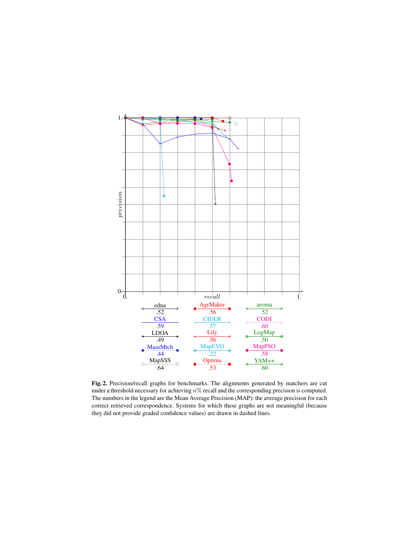

Fig. 2. Precision/recall graphs for benchmarks. The alignments generated by matchers are cut under a threshold necessary for achieving  $n\%$  recall and the corresponding precision is computed. The numbers in the legend are the Mean Average Precision (MAP): the average precision for each correct retrieved correspondence. Systems for which these graphs are not meaningful (because they did not provide graded confidence values) are drawn in dashed lines.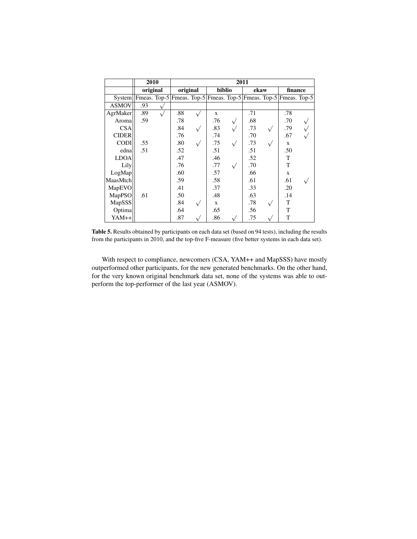|                                                                          | 2010     |    |          |              | 2011 |      |           |              |  |  |  |
|--------------------------------------------------------------------------|----------|----|----------|--------------|------|------|-----------|--------------|--|--|--|
|                                                                          | original |    | original | biblio       |      | ekaw |           | finance      |  |  |  |
| System  Fmeas. Top-5 Fmeas. Top-5 Fmeas. Top-5 Fmeas. Top-5 Fmeas. Top-5 |          |    |          |              |      |      |           |              |  |  |  |
| <b>ASMOV</b>                                                             | .93      | À, |          |              |      |      |           |              |  |  |  |
| AgrMaker                                                                 | .89      |    | .88      | $\mathbf{x}$ |      | .71  |           | .78          |  |  |  |
| Aroma                                                                    | .59      |    | .78      | .76          |      | .68  |           | .70          |  |  |  |
| <b>CSA</b>                                                               |          |    | .84      | .83          |      | .73  | $\sqrt{}$ | .79          |  |  |  |
| <b>CIDER</b>                                                             |          |    | .76      | .74          |      | .70  |           | .67          |  |  |  |
| <b>CODI</b>                                                              | .55      |    | .80      | .75          |      | .73  |           | X            |  |  |  |
| edna                                                                     | .51      |    | .52      | .51          |      | .51  |           | .50          |  |  |  |
| <b>LDOA</b>                                                              |          |    | .47      | .46          |      | .52  |           | T            |  |  |  |
| Lily                                                                     |          |    | .76      | .77          |      | .70  |           | T            |  |  |  |
| LogMap                                                                   |          |    | .60      | .57          |      | .66  |           | $\mathbf{x}$ |  |  |  |
| MaasMtch                                                                 |          |    | .59      | .58          |      | .61  |           | .61          |  |  |  |
| MapEVO                                                                   |          |    | .41      | .37          |      | .33  |           | .20          |  |  |  |
| MapPSO                                                                   | .61      |    | .50      | .48          |      | .63  |           | .14          |  |  |  |
| MapSSS                                                                   |          |    | .84      | X            |      | .78  |           | T            |  |  |  |
| Optima                                                                   |          |    | .64      | .65          |      | .56  |           | T            |  |  |  |
| YAM++                                                                    |          |    | .87      | .86          |      | .75  |           | T            |  |  |  |

Table 5. Results obtained by participants on each data set (based on 94 tests), including the results from the participants in 2010, and the top-five F-measure (five better systems in each data set).

With respect to compliance, newcomers (CSA, YAM++ and MapSSS) have mostly outperformed other participants, for the new generated benchmarks. On the other hand, for the very known original benchmark data set, none of the systems was able to outperform the top-performer of the last year (ASMOV).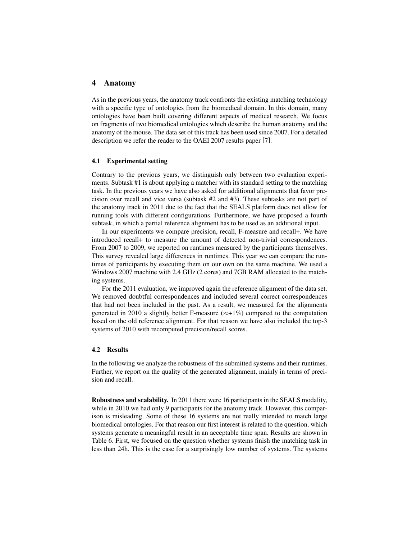### 4 Anatomy

As in the previous years, the anatomy track confronts the existing matching technology with a specific type of ontologies from the biomedical domain. In this domain, many ontologies have been built covering different aspects of medical research. We focus on fragments of two biomedical ontologies which describe the human anatomy and the anatomy of the mouse. The data set of this track has been used since 2007. For a detailed description we refer the reader to the OAEI 2007 results paper [7].

#### 4.1 Experimental setting

Contrary to the previous years, we distinguish only between two evaluation experiments. Subtask #1 is about applying a matcher with its standard setting to the matching task. In the previous years we have also asked for additional alignments that favor precision over recall and vice versa (subtask #2 and #3). These subtasks are not part of the anatomy track in 2011 due to the fact that the SEALS platform does not allow for running tools with different configurations. Furthermore, we have proposed a fourth subtask, in which a partial reference alignment has to be used as an additional input.

In our experiments we compare precision, recall, F-measure and recall+. We have introduced recall+ to measure the amount of detected non-trivial correspondences. From 2007 to 2009, we reported on runtimes measured by the participants themselves. This survey revealed large differences in runtimes. This year we can compare the runtimes of participants by executing them on our own on the same machine. We used a Windows 2007 machine with 2.4 GHz (2 cores) and 7GB RAM allocated to the matching systems.

For the 2011 evaluation, we improved again the reference alignment of the data set. We removed doubtful correspondences and included several correct correspondences that had not been included in the past. As a result, we measured for the alignments generated in 2010 a slightly better F-measure  $(\approx +1\%)$  compared to the computation based on the old reference alignment. For that reason we have also included the top-3 systems of 2010 with recomputed precision/recall scores.

#### 4.2 Results

In the following we analyze the robustness of the submitted systems and their runtimes. Further, we report on the quality of the generated alignment, mainly in terms of precision and recall.

Robustness and scalability. In 2011 there were 16 participants in the SEALS modality, while in 2010 we had only 9 participants for the anatomy track. However, this comparison is misleading. Some of these 16 systems are not really intended to match large biomedical ontologies. For that reason our first interest is related to the question, which systems generate a meaningful result in an acceptable time span. Results are shown in Table 6. First, we focused on the question whether systems finish the matching task in less than 24h. This is the case for a surprisingly low number of systems. The systems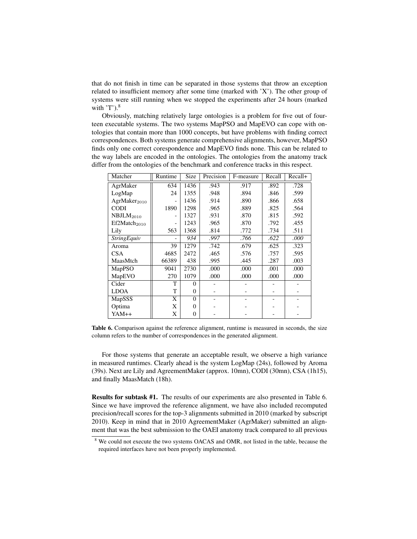that do not finish in time can be separated in those systems that throw an exception related to insufficient memory after some time (marked with 'X'). The other group of systems were still running when we stopped the experiments after 24 hours (marked with  $T$ ).<sup>8</sup>

Obviously, matching relatively large ontologies is a problem for five out of fourteen executable systems. The two systems MapPSO and MapEVO can cope with ontologies that contain more than 1000 concepts, but have problems with finding correct correspondences. Both systems generate comprehensive alignments, however, MapPSO finds only one correct corespondence and MapEVO finds none. This can be related to the way labels are encoded in the ontologies. The ontologies from the anatomy track differ from the ontologies of the benchmark and conference tracks in this respect.

| Matcher                  | Runtime | Size           | Precision | F-measure | Recall | Recall+ |
|--------------------------|---------|----------------|-----------|-----------|--------|---------|
| AgrMaker                 | 634     | 1436           | .943      | .917      | .892   | .728    |
| LogMap                   | 24      | 1355           | .948      | .894      | .846   | .599    |
| AgrMaker <sub>2010</sub> |         | 1436           | .914      | .890      | .866   | .658    |
| <b>CODI</b>              | 1890    | 1298           | .965      | .889      | .825   | .564    |
| NBJLM <sub>2010</sub>    |         | 1327           | .931      | .870      | .815   | .592    |
| Ef2Match <sub>2010</sub> |         | 1243           | .965      | .870      | .792   | .455    |
| Lily                     | 563     | 1368           | .814      | .772      | .734   | .511    |
| <b>StringEquiv</b>       |         | 934            | .997      | .766      | .622   | .000    |
| Aroma                    | 39      | 1279           | .742      | .679      | .625   | .323    |
| <b>CSA</b>               | 4685    | 2472           | .465      | .576      | .757   | .595    |
| MaasMtch                 | 66389   | 438            | .995      | .445      | .287   | .003    |
| MapPSO                   | 9041    | 2730           | .000      | .000      | .001   | .000    |
| MapEVO                   | 270     | 1079           | .000      | .000      | .000   | .000    |
| Cider                    | т       | $\Omega$       |           |           |        |         |
| <b>LDOA</b>              | T       | 0              |           |           |        |         |
| MapSSS                   | X       | $\Omega$       |           |           |        |         |
| Optima                   | X       | $\theta$       |           |           |        |         |
| $YAM++$                  | X       | $\overline{0}$ |           |           |        |         |

Table 6. Comparison against the reference alignment, runtime is measured in seconds, the size column refers to the number of correspondences in the generated alignment.

For those systems that generate an acceptable result, we observe a high variance in measured runtimes. Clearly ahead is the system LogMap (24s), followed by Aroma (39s). Next are Lily and AgreementMaker (approx. 10mn), CODI (30mn), CSA (1h15), and finally MaasMatch (18h).

Results for subtask #1. The results of our experiments are also presented in Table 6. Since we have improved the reference alignment, we have also included recomputed precision/recall scores for the top-3 alignments submitted in 2010 (marked by subscript 2010). Keep in mind that in 2010 AgreementMaker (AgrMaker) submitted an alignment that was the best submission to the OAEI anatomy track compared to all previous

<sup>8</sup> We could not execute the two systems OACAS and OMR, not listed in the table, because the required interfaces have not been properly implemented.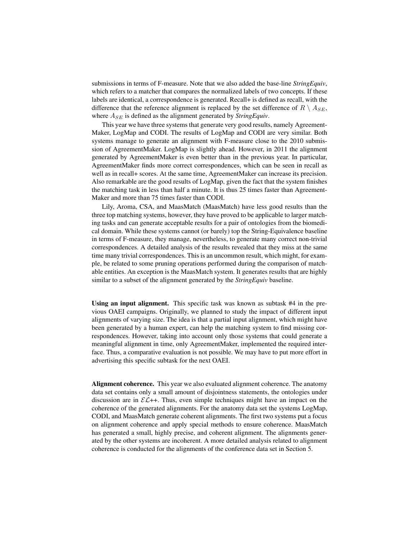submissions in terms of F-measure. Note that we also added the base-line *StringEquiv*, which refers to a matcher that compares the normalized labels of two concepts. If these labels are identical, a correspondence is generated. Recall+ is defined as recall, with the difference that the reference alignment is replaced by the set difference of  $R \setminus A_{SE}$ , where  $A_{SE}$  is defined as the alignment generated by *StringEquiv*.

This year we have three systems that generate very good results, namely Agreement-Maker, LogMap and CODI. The results of LogMap and CODI are very similar. Both systems manage to generate an alignment with F-measure close to the 2010 submission of AgreementMaker. LogMap is slightly ahead. However, in 2011 the alignment generated by AgreementMaker is even better than in the previous year. In particular, AgreementMaker finds more correct correspondences, which can be seen in recall as well as in recall+ scores. At the same time, AgreementMaker can increase its precision. Also remarkable are the good results of LogMap, given the fact that the system finishes the matching task in less than half a minute. It is thus 25 times faster than Agreement-Maker and more than 75 times faster than CODI.

Lily, Aroma, CSA, and MaasMatch (MaasMatch) have less good results than the three top matching systems, however, they have proved to be applicable to larger matching tasks and can generate acceptable results for a pair of ontologies from the biomedical domain. While these systems cannot (or barely) top the String-Equivalence baseline in terms of F-measure, they manage, nevertheless, to generate many correct non-trivial correspondences. A detailed analysis of the results revealed that they miss at the same time many trivial correspondences. This is an uncommon result, which might, for example, be related to some pruning operations performed during the comparison of matchable entities. An exception is the MaasMatch system. It generates results that are highly similar to a subset of the alignment generated by the *StringEquiv* baseline.

Using an input alignment. This specific task was known as subtask #4 in the previous OAEI campaigns. Originally, we planned to study the impact of different input alignments of varying size. The idea is that a partial input alignment, which might have been generated by a human expert, can help the matching system to find missing correspondences. However, taking into account only those systems that could generate a meaningful alignment in time, only AgreementMaker, implemented the required interface. Thus, a comparative evaluation is not possible. We may have to put more effort in advertising this specific subtask for the next OAEI.

Alignment coherence. This year we also evaluated alignment coherence. The anatomy data set contains only a small amount of disjointness statements, the ontologies under discussion are in  $\mathcal{EL}$ ++. Thus, even simple techniques might have an impact on the coherence of the generated alignments. For the anatomy data set the systems LogMap, CODI, and MaasMatch generate coherent alignments. The first two systems put a focus on alignment coherence and apply special methods to ensure coherence. MaasMatch has generated a small, highly precise, and coherent alignment. The alignments generated by the other systems are incoherent. A more detailed analysis related to alignment coherence is conducted for the alignments of the conference data set in Section 5.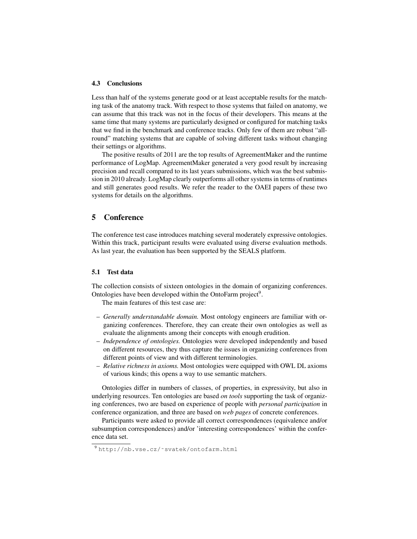#### 4.3 Conclusions

Less than half of the systems generate good or at least acceptable results for the matching task of the anatomy track. With respect to those systems that failed on anatomy, we can assume that this track was not in the focus of their developers. This means at the same time that many systems are particularly designed or configured for matching tasks that we find in the benchmark and conference tracks. Only few of them are robust "allround" matching systems that are capable of solving different tasks without changing their settings or algorithms.

The positive results of 2011 are the top results of AgreementMaker and the runtime performance of LogMap. AgreementMaker generated a very good result by increasing precision and recall compared to its last years submissions, which was the best submission in 2010 already. LogMap clearly outperforms all other systems in terms of runtimes and still generates good results. We refer the reader to the OAEI papers of these two systems for details on the algorithms.

## 5 Conference

The conference test case introduces matching several moderately expressive ontologies. Within this track, participant results were evaluated using diverse evaluation methods. As last year, the evaluation has been supported by the SEALS platform.

#### 5.1 Test data

The collection consists of sixteen ontologies in the domain of organizing conferences. Ontologies have been developed within the OntoFarm project<sup>9</sup>.

The main features of this test case are:

- *Generally understandable domain.* Most ontology engineers are familiar with organizing conferences. Therefore, they can create their own ontologies as well as evaluate the alignments among their concepts with enough erudition.
- *Independence of ontologies.* Ontologies were developed independently and based on different resources, they thus capture the issues in organizing conferences from different points of view and with different terminologies.
- *Relative richness in axioms.* Most ontologies were equipped with OWL DL axioms of various kinds; this opens a way to use semantic matchers.

Ontologies differ in numbers of classes, of properties, in expressivity, but also in underlying resources. Ten ontologies are based *on tools* supporting the task of organizing conferences, two are based on experience of people with *personal participation* in conference organization, and three are based on *web pages* of concrete conferences.

Participants were asked to provide all correct correspondences (equivalence and/or subsumption correspondences) and/or 'interesting correspondences' within the conference data set.

<sup>9</sup> http://nb.vse.cz/˜svatek/ontofarm.html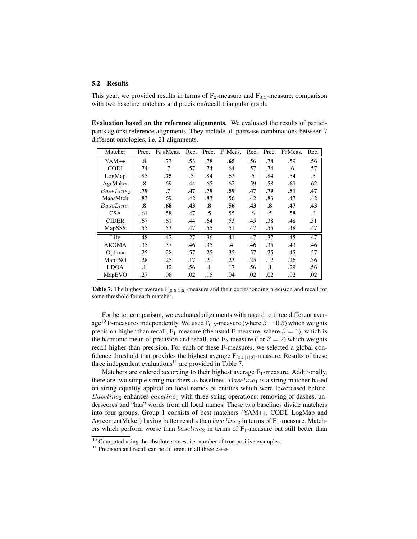#### 5.2 Results

This year, we provided results in terms of  $F_2$ -measure and  $F_{0.5}$ -measure, comparison with two baseline matchers and precision/recall triangular graph.

Evaluation based on the reference alignments. We evaluated the results of participants against reference alignments. They include all pairwise combinations between 7 different ontologies, i.e. 21 alignments.

| Matcher      | Prec.             | F <sub>0.5</sub> Meas. | Rec. | Prec.     | $F_1$ Meas. | Rec. | Prec.     | F <sub>2</sub> Meas. | Rec. |
|--------------|-------------------|------------------------|------|-----------|-------------|------|-----------|----------------------|------|
| YAM++        | $\boldsymbol{.8}$ | .73                    | .53  | .78       | .65         | .56  | .78       | .59                  | .56  |
| <b>CODI</b>  | .74               | .7                     | .57  | .74       | .64         | .57  | .74       | .6                   | .57  |
| LogMap       | .85               | .75                    | .5   | .84       | .63         | .5   | .84       | .54                  | .5   |
| AgrMaker     | $\cdot$ 8         | .69                    | .44  | .65       | .62         | .59  | .58       | .61                  | .62  |
| $BaseLine_2$ | .79               | .7                     | .47  | .79       | .59         | .47  | .79       | .51                  | .47  |
| MaasMtch     | .83               | .69                    | .42  | .83       | .56         | .42  | .83       | .47                  | .42  |
| $BaseLine_1$ | $\boldsymbol{.8}$ | .68                    | .43  | .8        | .56         | .43  | .8        | .47                  | .43  |
| <b>CSA</b>   | .61               | .58                    | .47  | .5        | .55         | .6   | .5        | .58                  | .6   |
| <b>CIDER</b> | .67               | .61                    | .44  | .64       | .53         | .45  | .38       | .48                  | .51  |
| MapSSS       | .55               | .53                    | .47  | .55       | .51         | .47  | .55       | .48                  | .47  |
| Lily         | .48               | .42                    | .27  | .36       | .41         | .47  | .37       | .45                  | .47  |
| <b>AROMA</b> | .35               | .37                    | .46  | .35       | .4          | .46  | .35       | .43                  | .46  |
| Optima       | .25               | .28                    | .57  | .25       | .35         | .57  | .25       | .45                  | .57  |
| MapPSO       | .28               | .25                    | .17  | .21       | .23         | .25  | .12       | .26                  | .36  |
| <b>LDOA</b>  | $\cdot$ 1         | .12                    | .56  | $\cdot$ 1 | .17         | .56  | $\cdot$ 1 | .29                  | .56  |
| MapEVO       | .27               | .08                    | .02  | .15       | .04         | .02  | .02       | .02                  | .02  |

**Table 7.** The highest average  $F_{[0.5|1|2]}$ -measure and their corresponding precision and recall for some threshold for each matcher.

For better comparison, we evaluated alignments with regard to three different average<sup>10</sup> F-measures independently. We used F<sub>0.5</sub>-measure (where  $\beta = 0.5$ ) which weights precision higher than recall, F<sub>1</sub>-measure (the usual F-measure, where  $\beta = 1$ ), which is the harmonic mean of precision and recall, and  $F_2$ -measure (for  $\beta = 2$ ) which weights recall higher than precision. For each of these F-measures, we selected a global confidence threshold that provides the highest average  $F_{[0.5|1|2]}$ -measure. Results of these three independent evaluations<sup>11</sup> are provided in Table  $7$ .

Matchers are ordered according to their highest average  $F_1$ -measure. Additionally, there are two simple string matchers as baselines.  $Basedine<sub>1</sub>$  is a string matcher based on string equality applied on local names of entities which were lowercased before.  $Baseline_2$  enhances  $baseline_1$  with three string operations: removing of dashes, underscores and "has" words from all local names. These two baselines divide matchers into four groups. Group 1 consists of best matchers (YAM++, CODI, LogMap and AgreementMaker) having better results than  $baseline_2$  in terms of  $F_1$ -measure. Matchers which perform worse than  $baseline_2$  in terms of  $F_1$ -measure but still better than

<sup>&</sup>lt;sup>10</sup> Computed using the absolute scores, i.e. number of true positive examples.

<sup>&</sup>lt;sup>11</sup> Precision and recall can be different in all three cases.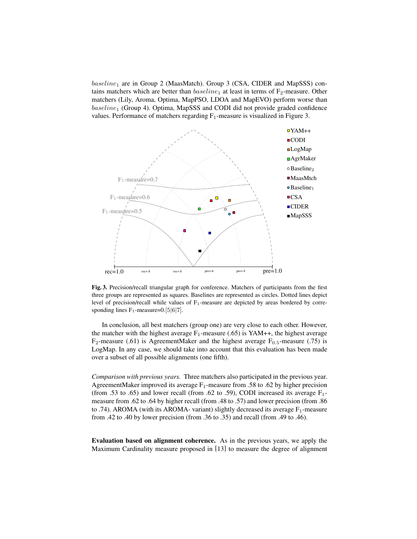$baseline<sub>1</sub>$  are in Group 2 (MaasMatch). Group 3 (CSA, CIDER and MapSSS) contains matchers which are better than  $baseline_1$  at least in terms of  $F_2$ -measure. Other matchers (Lily, Aroma, Optima, MapPSO, LDOA and MapEVO) perform worse than  $baseline_1$  (Group 4). Optima, MapSSS and CODI did not provide graded confidence values. Performance of matchers regarding  $F_1$ -measure is visualized in Figure 3.



Fig. 3. Precision/recall triangular graph for conference. Matchers of participants from the first three groups are represented as squares. Baselines are represented as circles. Dotted lines depict level of precision/recall while values of  $F_1$ -measure are depicted by areas bordered by corresponding lines  $F_1$ -measure=0.[5|6|7].

In conclusion, all best matchers (group one) are very close to each other. However, the matcher with the highest average  $F_1$ -measure (.65) is YAM++, the highest average F<sub>2</sub>-measure (.61) is AgreementMaker and the highest average  $F_{0.5}$ -measure (.75) is LogMap. In any case, we should take into account that this evaluation has been made over a subset of all possible alignments (one fifth).

*Comparison with previous years.* Three matchers also participated in the previous year. AgreementMaker improved its average  $F_1$ -measure from .58 to .62 by higher precision (from .53 to .65) and lower recall (from .62 to .59), CODI increased its average  $F_1$ measure from .62 to .64 by higher recall (from .48 to .57) and lower precision (from .86 to .74). AROMA (with its AROMA- variant) slightly decreased its average  $F_1$ -measure from .42 to .40 by lower precision (from .36 to .35) and recall (from .49 to .46).

Evaluation based on alignment coherence. As in the previous years, we apply the Maximum Cardinality measure proposed in [13] to measure the degree of alignment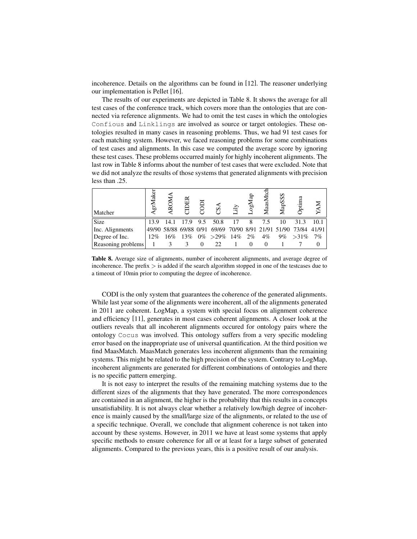incoherence. Details on the algorithms can be found in [12]. The reasoner underlying our implementation is Pellet [16].

The results of our experiments are depicted in Table 8. It shows the average for all test cases of the conference track, which covers more than the ontologies that are connected via reference alignments. We had to omit the test cases in which the ontologies Confious and Linklings are involved as source or target ontologies. These ontologies resulted in many cases in reasoning problems. Thus, we had 91 test cases for each matching system. However, we faced reasoning problems for some combinations of test cases and alignments. In this case we computed the average score by ignoring these test cases. These problems occurred mainly for highly incoherent alignments. The last row in Table 8 informs about the number of test cases that were excluded. Note that we did not analyze the results of those systems that generated alignments with precision less than .25.

| Matcher            | ake<br>टी, |                        | $_{\rm E}$ |     | S            | ily | ਫ਼ਿ<br>$\mathbf{M}^{\mathbf{SO}}$ | MaasM | <b>MapSSS</b>          | Optima      |      |
|--------------------|------------|------------------------|------------|-----|--------------|-----|-----------------------------------|-------|------------------------|-------------|------|
| Size               | 13.9       | 14.1                   | 17.9       | 9.5 | 50.8         | 17  |                                   |       | 10                     | 31.3        | 10.1 |
| Inc. Alignments    |            | 49/90 58/88 69/88 0/91 |            |     | 69/69        |     |                                   |       | 70/90 8/91 21/91 51/90 | 73/84 41/91 |      |
| Degree of Inc.     | 12%        | 16%                    | 13%        |     | $0\% > 29\%$ | 14% | $2\%$                             | $4\%$ | 9%                     | $>31\%$     | 7%   |
| Reasoning problems |            |                        | 3          |     | 22           |     |                                   |       |                        |             |      |

Table 8. Average size of alignments, number of incoherent alignments, and average degree of incoherence. The prefix  $>$  is added if the search algorithm stopped in one of the testcases due to a timeout of 10min prior to computing the degree of incoherence.

CODI is the only system that guarantees the coherence of the generated alignments. While last year some of the alignments were incoherent, all of the alignments generated in 2011 are coherent. LogMap, a system with special focus on alignment coherence and efficiency [11], generates in most cases coherent alignments. A closer look at the outliers reveals that all incoherent alignments occured for ontology pairs where the ontology Cocus was involved. This ontology suffers from a very specific modeling error based on the inappropriate use of universal quantification. At the third position we find MaasMatch. MaasMatch generates less incoherent alignments than the remaining systems. This might be related to the high precision of the system. Contrary to LogMap, incoherent alignments are generated for different combinations of ontologies and there is no specific pattern emerging.

It is not easy to interpret the results of the remaining matching systems due to the different sizes of the alignments that they have generated. The more correspondences are contained in an alignment, the higher is the probability that this results in a concepts unsatisfiability. It is not always clear whether a relatively low/high degree of incoherence is mainly caused by the small/large size of the alignments, or related to the use of a specific technique. Overall, we conclude that alignment coherence is not taken into account by these systems. However, in 2011 we have at least some systems that apply specific methods to ensure coherence for all or at least for a large subset of generated alignments. Compared to the previous years, this is a positive result of our analysis.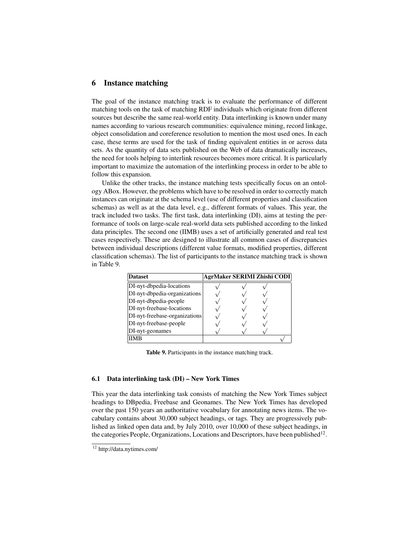# 6 Instance matching

The goal of the instance matching track is to evaluate the performance of different matching tools on the task of matching RDF individuals which originate from different sources but describe the same real-world entity. Data interlinking is known under many names according to various research communities: equivalence mining, record linkage, object consolidation and coreference resolution to mention the most used ones. In each case, these terms are used for the task of finding equivalent entities in or across data sets. As the quantity of data sets published on the Web of data dramatically increases, the need for tools helping to interlink resources becomes more critical. It is particularly important to maximize the automation of the interlinking process in order to be able to follow this expansion.

Unlike the other tracks, the instance matching tests specifically focus on an ontology ABox. However, the problems which have to be resolved in order to correctly match instances can originate at the schema level (use of different properties and classification schemas) as well as at the data level, e.g., different formats of values. This year, the track included two tasks. The first task, data interlinking (DI), aims at testing the performance of tools on large-scale real-world data sets published according to the linked data principles. The second one (IIMB) uses a set of artificially generated and real test cases respectively. These are designed to illustrate all common cases of discrepancies between individual descriptions (different value formats, modified properties, different classification schemas). The list of participants to the instance matching track is shown in Table 9.

| <b>Dataset</b>                | AgrMaker SERIMI Zhishi CODI |  |  |
|-------------------------------|-----------------------------|--|--|
| DI-nyt-dbpedia-locations      |                             |  |  |
| DI-nyt-dbpedia-organizations  |                             |  |  |
| DI-nyt-dbpedia-people         |                             |  |  |
| DI-nyt-freebase-locations     |                             |  |  |
| DI-nyt-freebase-organizations |                             |  |  |
| DI-nyt-freebase-people        |                             |  |  |
| DI-nyt-geonames               |                             |  |  |
|                               |                             |  |  |

Table 9. Participants in the instance matching track.

#### 6.1 Data interlinking task (DI) – New York Times

This year the data interlinking task consists of matching the New York Times subject headings to DBpedia, Freebase and Geonames. The New York Times has developed over the past 150 years an authoritative vocabulary for annotating news items. The vocabulary contains about 30,000 subject headings, or tags. They are progressively published as linked open data and, by July 2010, over 10,000 of these subject headings, in the categories People, Organizations, Locations and Descriptors, have been published $^{12}$ .

<sup>12</sup> http://data.nytimes.com/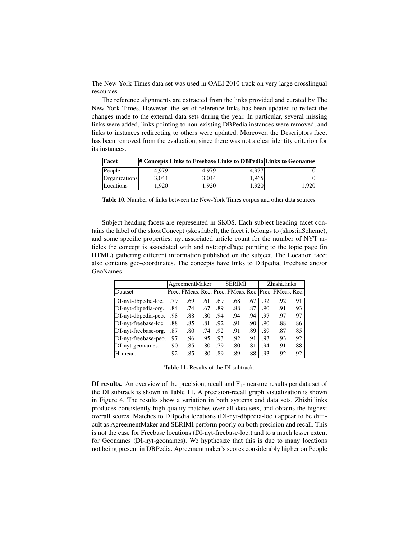The New York Times data set was used in OAEI 2010 track on very large crosslingual resources.

The reference alignments are extracted from the links provided and curated by The New-York Times. However, the set of reference links has been updated to reflect the changes made to the external data sets during the year. In particular, several missing links were added, links pointing to non-existing DBPedia instances were removed, and links to instances redirecting to others were updated. Moreover, the Descriptors facet has been removed from the evaluation, since there was not a clear identity criterion for its instances.

| Facet         |       |           |       | # Concepts Links to Freebase Links to DBPedia Links to Geonames |
|---------------|-------|-----------|-------|-----------------------------------------------------------------|
| People        | 4.979 | 4.979     | 4.977 |                                                                 |
| Organizations | 3.044 | 3.044     | 1.965 |                                                                 |
| Locations     | .920  | $920^{1}$ | 1.920 | 1.920                                                           |

Table 10. Number of links between the New-York Times corpus and other data sources.

Subject heading facets are represented in SKOS. Each subject heading facet contains the label of the skos:Concept (skos:label), the facet it belongs to (skos:inScheme), and some specific properties: nyt:associated article count for the number of NYT articles the concept is associated with and nyt:topicPage pointing to the topic page (in HTML) gathering different information published on the subject. The Location facet also contains geo-coordinates. The concepts have links to DBpedia, Freebase and/or GeoNames.

|                      |     | AgreementMaker |     |     | <b>SERIMI</b>                                         |     |     | Zhishi.links |     |
|----------------------|-----|----------------|-----|-----|-------------------------------------------------------|-----|-----|--------------|-----|
| Dataset              |     |                |     |     | Prec. FMeas. Rec. Prec. FMeas. Rec. Prec. FMeas. Rec. |     |     |              |     |
| DI-nyt-dbpedia-loc.  | .79 | .69            | .61 | .69 | .68                                                   | .67 | .92 | .92          | .91 |
| DI-nyt-dbpedia-org.  | .84 | .74            | .67 | .89 | .88                                                   | .87 | .90 | .91          | .93 |
| DI-nyt-dbpedia-peo.  | .98 | .88            | .80 | .94 | .94                                                   | .94 | .97 | .97          | .97 |
| DI-nyt-freebase-loc. | .88 | .85            | .81 | .92 | .91                                                   | .90 | .90 | .88          | .86 |
| DI-nyt-freebase-org. | .87 | .80            | .74 | .92 | .91                                                   | .89 | .89 | .87          | .85 |
| DI-nyt-freebase-peo. | .97 | .96            | .95 | .93 | .92                                                   | .91 | .93 | .93          | .92 |
| DI-nyt-geonames.     | .90 | .85            | .80 | .79 | .80                                                   | .81 | .94 | .91          | .88 |
| H-mean.              | .92 | .85            | .80 | .89 | .89                                                   | .88 | .93 | .92          | .92 |

Table 11. Results of the DI subtrack.

**DI results.** An overview of the precision, recall and  $F_1$ -measure results per data set of the DI subtrack is shown in Table 11. A precision-recall graph visualization is shown in Figure 4. The results show a variation in both systems and data sets. Zhishi.links produces consistently high quality matches over all data sets, and obtains the highest overall scores. Matches to DBpedia locations (DI-nyt-dbpedia-loc.) appear to be difficult as AgreementMaker and SERIMI perform poorly on both precision and recall. This is not the case for Freebase locations (DI-nyt-freebase-loc.) and to a much lesser extent for Geonames (DI-nyt-geonames). We hypthesize that this is due to many locations not being present in DBPedia. Agreementmaker's scores considerably higher on People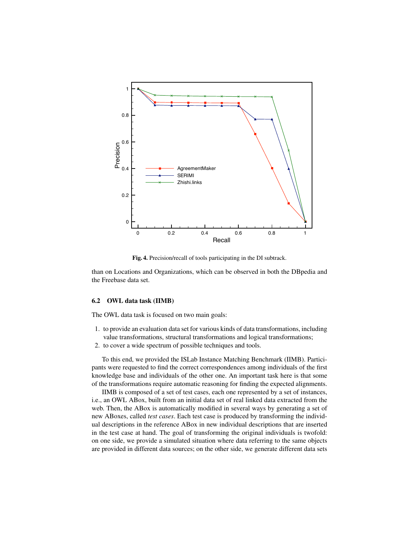

Fig. 4. Precision/recall of tools participating in the DI subtrack.

than on Locations and Organizations, which can be observed in both the DBpedia and the Freebase data set.

#### 6.2 OWL data task (IIMB)

The OWL data task is focused on two main goals:

- 1. to provide an evaluation data set for various kinds of data transformations, including value transformations, structural transformations and logical transformations;
- 2. to cover a wide spectrum of possible techniques and tools.

To this end, we provided the ISLab Instance Matching Benchmark (IIMB). Participants were requested to find the correct correspondences among individuals of the first knowledge base and individuals of the other one. An important task here is that some of the transformations require automatic reasoning for finding the expected alignments.

IIMB is composed of a set of test cases, each one represented by a set of instances, i.e., an OWL ABox, built from an initial data set of real linked data extracted from the web. Then, the ABox is automatically modified in several ways by generating a set of new ABoxes, called *test cases*. Each test case is produced by transforming the individual descriptions in the reference ABox in new individual descriptions that are inserted in the test case at hand. The goal of transforming the original individuals is twofold: on one side, we provide a simulated situation where data referring to the same objects are provided in different data sources; on the other side, we generate different data sets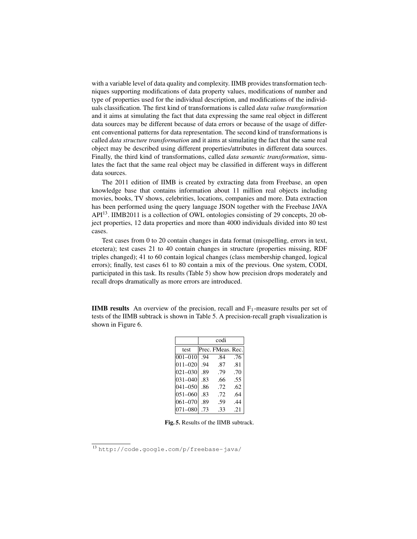with a variable level of data quality and complexity. IIMB provides transformation techniques supporting modifications of data property values, modifications of number and type of properties used for the individual description, and modifications of the individuals classification. The first kind of transformations is called *data value transformation* and it aims at simulating the fact that data expressing the same real object in different data sources may be different because of data errors or because of the usage of different conventional patterns for data representation. The second kind of transformations is called *data structure transformation* and it aims at simulating the fact that the same real object may be described using different properties/attributes in different data sources. Finally, the third kind of transformations, called *data semantic transformation*, simulates the fact that the same real object may be classified in different ways in different data sources.

The 2011 edition of IIMB is created by extracting data from Freebase, an open knowledge base that contains information about 11 million real objects including movies, books, TV shows, celebrities, locations, companies and more. Data extraction has been performed using the query language JSON together with the Freebase JAVA  $API<sup>13</sup>$ . IIMB2011 is a collection of OWL ontologies consisting of 29 concepts, 20 object properties, 12 data properties and more than 4000 individuals divided into 80 test cases.

Test cases from 0 to 20 contain changes in data format (misspelling, errors in text, etcetera); test cases 21 to 40 contain changes in structure (properties missing, RDF triples changed); 41 to 60 contain logical changes (class membership changed, logical errors); finally, test cases 61 to 80 contain a mix of the previous. One system, CODI, participated in this task. Its results (Table 5) show how precision drops moderately and recall drops dramatically as more errors are introduced.

**IIMB results** An overview of the precision, recall and  $F_1$ -measure results per set of tests of the IIMB subtrack is shown in Table 5. A precision-recall graph visualization is shown in Figure 6.

|             |     | codi              |     |
|-------------|-----|-------------------|-----|
| test        |     | Prec. FMeas. Rec. |     |
| $001 - 010$ | .94 | .84               | .76 |
| $011 - 020$ | .94 | .87               | .81 |
| 021-030     | .89 | .79               | .70 |
| $031 - 040$ | .83 | .66               | .55 |
| $041 - 050$ | .86 | .72               | .62 |
| 051-060     | .83 | .72               | .64 |
| 061-070     | .89 | .59               | .44 |
| 071-080     | .73 | .33               | .21 |

Fig. 5. Results of the IIMB subtrack.

<sup>13</sup> http://code.google.com/p/freebase-java/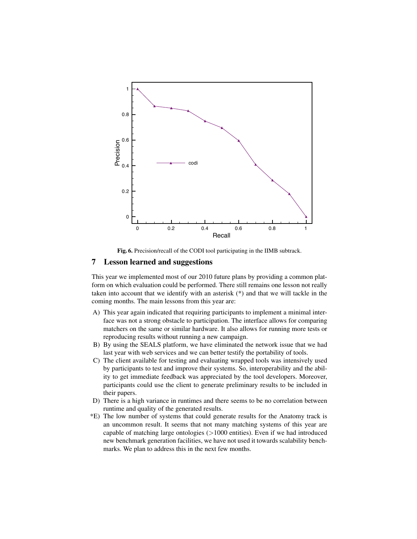

Fig. 6. Precision/recall of the CODI tool participating in the IIMB subtrack.

# 7 Lesson learned and suggestions

This year we implemented most of our 2010 future plans by providing a common platform on which evaluation could be performed. There still remains one lesson not really taken into account that we identify with an asterisk (\*) and that we will tackle in the coming months. The main lessons from this year are:

- A) This year again indicated that requiring participants to implement a minimal interface was not a strong obstacle to participation. The interface allows for comparing matchers on the same or similar hardware. It also allows for running more tests or reproducing results without running a new campaign.
- B) By using the SEALS platform, we have eliminated the network issue that we had last year with web services and we can better testify the portability of tools.
- C) The client available for testing and evaluating wrapped tools was intensively used by participants to test and improve their systems. So, interoperability and the ability to get immediate feedback was appreciated by the tool developers. Moreover, participants could use the client to generate preliminary results to be included in their papers.
- D) There is a high variance in runtimes and there seems to be no correlation between runtime and quality of the generated results.
- \*E) The low number of systems that could generate results for the Anatomy track is an uncommon result. It seems that not many matching systems of this year are capable of matching large ontologies  $(>1000$  entities). Even if we had introduced new benchmark generation facilities, we have not used it towards scalability benchmarks. We plan to address this in the next few months.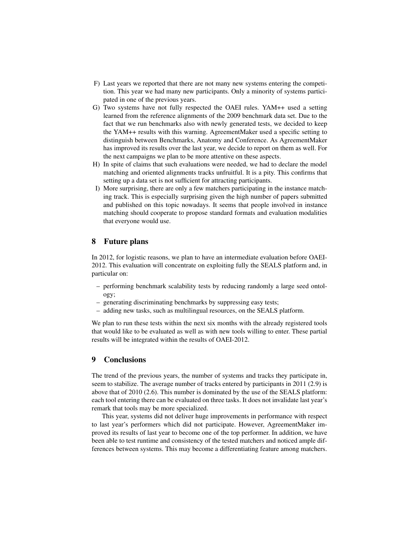- F) Last years we reported that there are not many new systems entering the competition. This year we had many new participants. Only a minority of systems participated in one of the previous years.
- G) Two systems have not fully respected the OAEI rules. YAM++ used a setting learned from the reference alignments of the 2009 benchmark data set. Due to the fact that we run benchmarks also with newly generated tests, we decided to keep the YAM++ results with this warning. AgreementMaker used a specific setting to distinguish between Benchmarks, Anatomy and Conference. As AgreementMaker has improved its results over the last year, we decide to report on them as well. For the next campaigns we plan to be more attentive on these aspects.
- H) In spite of claims that such evaluations were needed, we had to declare the model matching and oriented alignments tracks unfruitful. It is a pity. This confirms that setting up a data set is not sufficient for attracting participants.
- I) More surprising, there are only a few matchers participating in the instance matching track. This is especially surprising given the high number of papers submitted and published on this topic nowadays. It seems that people involved in instance matching should cooperate to propose standard formats and evaluation modalities that everyone would use.

# 8 Future plans

In 2012, for logistic reasons, we plan to have an intermediate evaluation before OAEI-2012. This evaluation will concentrate on exploiting fully the SEALS platform and, in particular on:

- performing benchmark scalability tests by reducing randomly a large seed ontology;
- generating discriminating benchmarks by suppressing easy tests;
- adding new tasks, such as multilingual resources, on the SEALS platform.

We plan to run these tests within the next six months with the already registered tools that would like to be evaluated as well as with new tools willing to enter. These partial results will be integrated within the results of OAEI-2012.

# 9 Conclusions

The trend of the previous years, the number of systems and tracks they participate in, seem to stabilize. The average number of tracks entered by participants in 2011 (2.9) is above that of 2010 (2.6). This number is dominated by the use of the SEALS platform: each tool entering there can be evaluated on three tasks. It does not invalidate last year's remark that tools may be more specialized.

This year, systems did not deliver huge improvements in performance with respect to last year's performers which did not participate. However, AgreementMaker improved its results of last year to become one of the top performer. In addition, we have been able to test runtime and consistency of the tested matchers and noticed ample differences between systems. This may become a differentiating feature among matchers.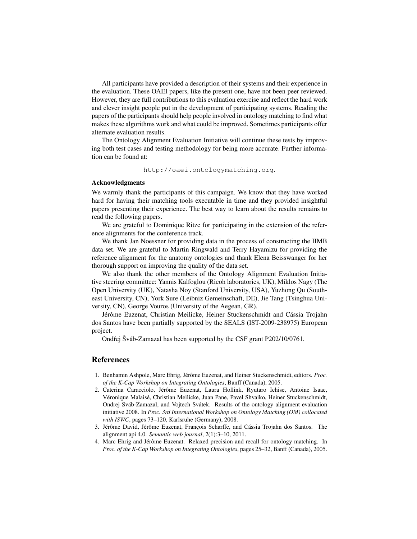All participants have provided a description of their systems and their experience in the evaluation. These OAEI papers, like the present one, have not been peer reviewed. However, they are full contributions to this evaluation exercise and reflect the hard work and clever insight people put in the development of participating systems. Reading the papers of the participants should help people involved in ontology matching to find what makes these algorithms work and what could be improved. Sometimes participants offer alternate evaluation results.

The Ontology Alignment Evaluation Initiative will continue these tests by improving both test cases and testing methodology for being more accurate. Further information can be found at:

http://oaei.ontologymatching.org.

#### Acknowledgments

We warmly thank the participants of this campaign. We know that they have worked hard for having their matching tools executable in time and they provided insightful papers presenting their experience. The best way to learn about the results remains to read the following papers.

We are grateful to Dominique Ritze for participating in the extension of the reference alignments for the conference track.

We thank Jan Noessner for providing data in the process of constructing the IIMB data set. We are grateful to Martin Ringwald and Terry Hayamizu for providing the reference alignment for the anatomy ontologies and thank Elena Beisswanger for her thorough support on improving the quality of the data set.

We also thank the other members of the Ontology Alignment Evaluation Initiative steering committee: Yannis Kalfoglou (Ricoh laboratories, UK), Miklos Nagy (The Open University (UK), Natasha Noy (Stanford University, USA), Yuzhong Qu (Southeast University, CN), York Sure (Leibniz Gemeinschaft, DE), Jie Tang (Tsinghua University, CN), George Vouros (University of the Aegean, GR).

Jérôme Euzenat, Christian Meilicke, Heiner Stuckenschmidt and Cássia Trojahn dos Santos have been partially supported by the SEALS (IST-2009-238975) European project.

Ondřej Šváb-Zamazal has been supported by the CSF grant P202/10/0761.

#### References

- 1. Benhamin Ashpole, Marc Ehrig, Jérôme Euzenat, and Heiner Stuckenschmidt, editors. *Proc. of the K-Cap Workshop on Integrating Ontologies*, Banff (Canada), 2005.
- 2. Caterina Caracciolo, Jérôme Euzenat, Laura Hollink, Ryutaro Ichise, Antoine Isaac, Véronique Malaisé, Christian Meilicke, Juan Pane, Pavel Shvaiko, Heiner Stuckenschmidt, Ondrej Sváb-Zamazal, and Vojtech Svátek. Results of the ontology alignment evaluation initiative 2008. In *Proc. 3rd International Workshop on Ontology Matching (OM) collocated with ISWC*, pages 73–120, Karlsruhe (Germany), 2008.
- 3. Jérôme David, Jérôme Euzenat, François Scharffe, and Cássia Trojahn dos Santos. The alignment api 4.0. *Semantic web journal*, 2(1):3–10, 2011.
- 4. Marc Ehrig and Jérôme Euzenat. Relaxed precision and recall for ontology matching. In *Proc. of the K-Cap Workshop on Integrating Ontologies*, pages 25–32, Banff (Canada), 2005.